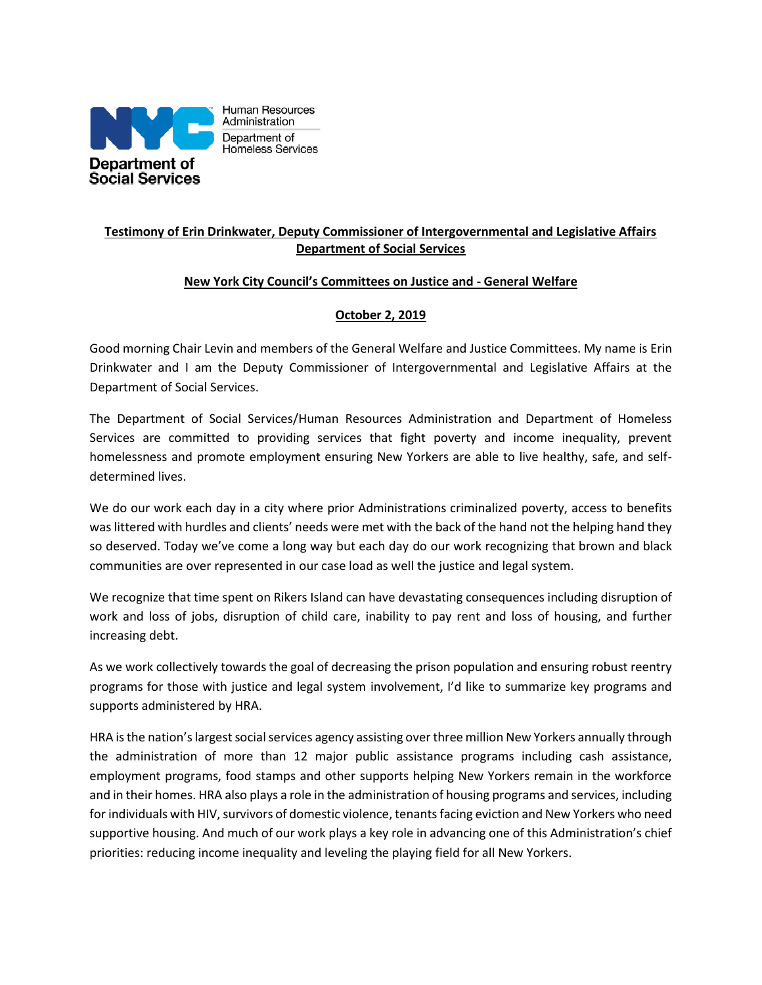

## **Testimony of Erin Drinkwater, Deputy Commissioner of Intergovernmental and Legislative Affairs Department of Social Services**

## **New York City Council's Committees on Justice and - General Welfare**

## **October 2, 2019**

Good morning Chair Levin and members of the General Welfare and Justice Committees. My name is Erin Drinkwater and I am the Deputy Commissioner of Intergovernmental and Legislative Affairs at the Department of Social Services.

The Department of Social Services/Human Resources Administration and Department of Homeless Services are committed to providing services that fight poverty and income inequality, prevent homelessness and promote employment ensuring New Yorkers are able to live healthy, safe, and selfdetermined lives.

We do our work each day in a city where prior Administrations criminalized poverty, access to benefits was littered with hurdles and clients' needs were met with the back of the hand not the helping hand they so deserved. Today we've come a long way but each day do our work recognizing that brown and black communities are over represented in our case load as well the justice and legal system.

We recognize that time spent on Rikers Island can have devastating consequences including disruption of work and loss of jobs, disruption of child care, inability to pay rent and loss of housing, and further increasing debt.

As we work collectively towards the goal of decreasing the prison population and ensuring robust reentry programs for those with justice and legal system involvement, I'd like to summarize key programs and supports administered by HRA.

HRA is the nation's largest social services agency assisting over three million New Yorkers annually through the administration of more than 12 major public assistance programs including cash assistance, employment programs, food stamps and other supports helping New Yorkers remain in the workforce and in their homes. HRA also plays a role in the administration of housing programs and services, including for individuals with HIV, survivors of domestic violence, tenants facing eviction and New Yorkers who need supportive housing. And much of our work plays a key role in advancing one of this Administration's chief priorities: reducing income inequality and leveling the playing field for all New Yorkers.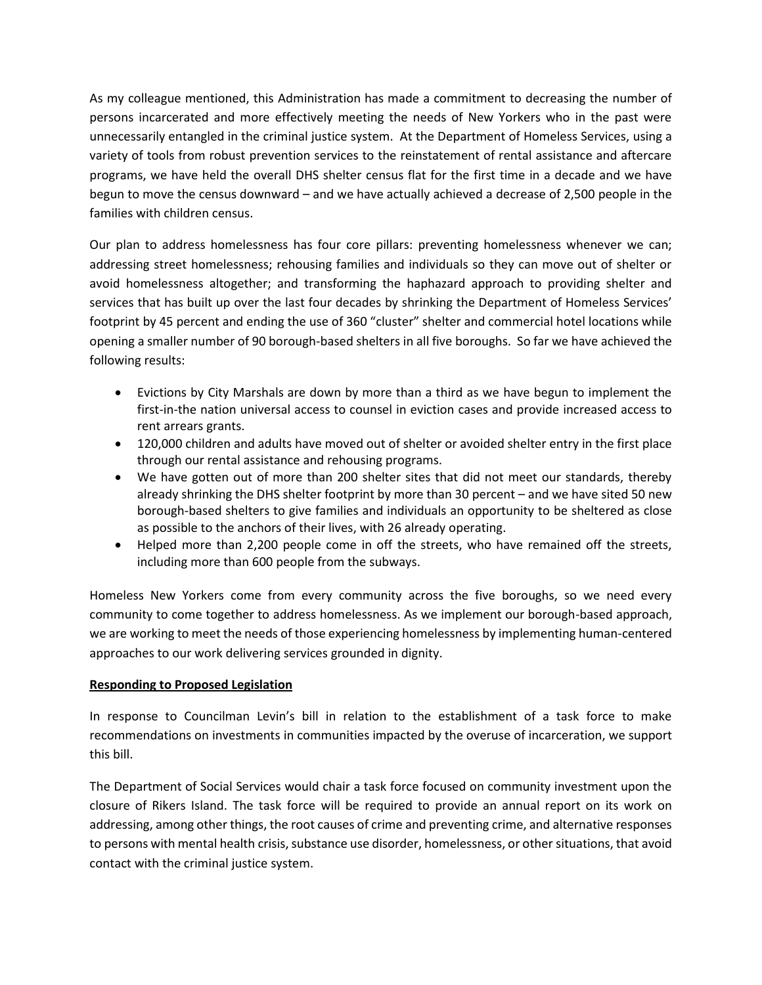As my colleague mentioned, this Administration has made a commitment to decreasing the number of persons incarcerated and more effectively meeting the needs of New Yorkers who in the past were unnecessarily entangled in the criminal justice system. At the Department of Homeless Services, using a variety of tools from robust prevention services to the reinstatement of rental assistance and aftercare programs, we have held the overall DHS shelter census flat for the first time in a decade and we have begun to move the census downward – and we have actually achieved a decrease of 2,500 people in the families with children census.

Our plan to address homelessness has four core pillars: preventing homelessness whenever we can; addressing street homelessness; rehousing families and individuals so they can move out of shelter or avoid homelessness altogether; and transforming the haphazard approach to providing shelter and services that has built up over the last four decades by shrinking the Department of Homeless Services' footprint by 45 percent and ending the use of 360 "cluster" shelter and commercial hotel locations while opening a smaller number of 90 borough-based shelters in all five boroughs. So far we have achieved the following results:

- Evictions by City Marshals are down by more than a third as we have begun to implement the first-in-the nation universal access to counsel in eviction cases and provide increased access to rent arrears grants.
- 120,000 children and adults have moved out of shelter or avoided shelter entry in the first place through our rental assistance and rehousing programs.
- We have gotten out of more than 200 shelter sites that did not meet our standards, thereby already shrinking the DHS shelter footprint by more than 30 percent – and we have sited 50 new borough-based shelters to give families and individuals an opportunity to be sheltered as close as possible to the anchors of their lives, with 26 already operating.
- Helped more than 2,200 people come in off the streets, who have remained off the streets, including more than 600 people from the subways.

Homeless New Yorkers come from every community across the five boroughs, so we need every community to come together to address homelessness. As we implement our borough-based approach, we are working to meet the needs of those experiencing homelessness by implementing human-centered approaches to our work delivering services grounded in dignity.

## **Responding to Proposed Legislation**

In response to Councilman Levin's bill in relation to the establishment of a task force to make recommendations on investments in communities impacted by the overuse of incarceration, we support this bill.

The Department of Social Services would chair a task force focused on community investment upon the closure of Rikers Island. The task force will be required to provide an annual report on its work on addressing, among other things, the root causes of crime and preventing crime, and alternative responses to persons with mental health crisis, substance use disorder, homelessness, or other situations, that avoid contact with the criminal justice system.